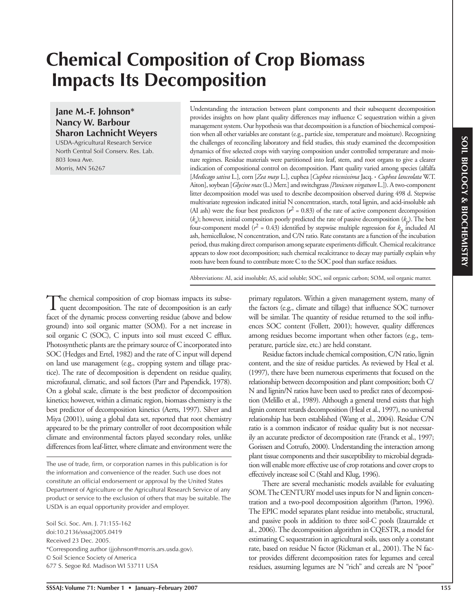# **Chemical Composition of Crop Biomass Impacts Its Decomposition**

# **Jane M.-F. Johnson\* Nancy W. Barbour Sharon Lachnicht Weyers**

USDA-Agricultural Research Service North Central Soil Conserv. Res. Lab. 803 Iowa Ave. Morris, MN 56267

Understanding the interaction between plant components and their subsequent decomposition provides insights on how plant quality differences may influence  $C$  sequestration within a given management system. Our hypothesis was that decomposition is a function of biochemical composition when all other variables are constant (e.g., particle size, temperature and moisture). Recognizing the challenges of reconciling laboratory and field studies, this study examined the decomposition dynamics of five selected crops with varying composition under controlled temperature and moisture regimes. Residue materials were partitioned into leaf, stem, and root organs to give a clearer indication of compositional control on decomposition. Plant quality varied among species (alfalfa [*Medicago sativa* L.], corn [*Zea mays* L.], cuphea [*Cuphea viscosissima* Jacq. **⋅** *Cuphea lanceolata* W.T. Aiton], soybean [*Glycine max* (L.) Merr.] and switchgrass *[Panicum virgatum* L.]). A two-component litter decomposition model was used to describe decomposition observed during 498 d. Stepwise multivariate regression indicated initial N concentration, starch, total lignin, and acid-insoluble ash (AI ash) were the four best predictors ( $r^2$  = 0.83) of the rate of active component decomposition (*k*a ); however, initial composition poorly predicted the rate of passive decomposition (*k*p). The best four-component model ( $r^2$  = 0.43) identified by stepwise multiple regression for  $k_p$  included AI ash, hemicellulose, N concentration, and C/N ratio. Rate constants are a function of the incubation period, thus making direct comparison among separate experiments difficult. Chemical recalcitrance appears to slow root decomposition; such chemical recalcitrance to decay may partially explain why roots have been found to contribute more C to the SOC pool than surface residues.

Abbreviations: AI, acid insoluble; AS, acid soluble; SOC, soil organic carbon; SOM, soil organic matter.

The chemical composition of crop biomass impacts its subsequent decomposition. The rate of decomposition is an early facet of the dynamic process converting residue (above and below ground) into soil organic matter (SOM). For a net increase in soil organic C (SOC), C inputs into soil must exceed C efflux. Photosynthetic plants are the primary source of C incorporated into SOC (Hedges and Ertel, 1982) and the rate of C input will depend on land use management (e.g., cropping system and tillage practice). The rate of decomposition is dependent on residue quality, microfaunal, climatic, and soil factors (Parr and Papendick, 1978). On a global scale, climate is the best predictor of decomposition kinetics; however, within a climatic region, biomass chemistry is the best predictor of decomposition kinetics (Aerts, 1997). Silver and Miya (2001), using a global data set, reported that root chemistry appeared to be the primary controller of root decomposition while climate and environmental factors played secondary roles, unlike differences from leaf-litter, where climate and environment were the

Soil Sci. Soc. Am. J. 71:155-162 doi:10.2136/sssaj2005.0419 Received 23 Dec. 2005. \*Corresponding author (jjohnson@morris.ars.usda.gov). © Soil Science Society of America 677 S. Segoe Rd. Madison WI 53711 USA

primary regulators. Within a given management system, many of the factors (e.g., climate and tillage) that influence SOC turnover will be similar. The quantity of residue returned to the soil influences SOC content (Follett, 2001); however, quality differences among residues become important when other factors (e.g., temperature, particle size, etc.) are held constant.

Residue factors include chemical composition, C/N ratio, lignin content, and the size of residue particles. As reviewed by Heal et al. (1997), there have been numerous experiments that focused on the relationship between decomposition and plant composition; both C/ N and lignin/N ratios have been used to predict rates of decomposition (Melillo et al., 1989). Although a general trend exists that high lignin content retards decomposition (Heal et al., 1997), no universal relationship has been established (Wang et al., 2004). Residue C/N ratio is a common indicator of residue quality but is not necessarily an accurate predictor of decomposition rate (Franck et al., 1997; Gorissen and Cotrufo, 2000). Understanding the interaction among plant tissue components and their susceptibility to microbial degradation will enable more effective use of crop rotations and cover crops to effectively increase soil C (Stahl and Klug, 1996).

There are several mechanistic models available for evaluating SOM. The CENTURY model uses inputs for N and lignin concentration and a two-pool decomposition algorithm (Parton, 1996). The EPIC model separates plant residue into metabolic, structural, and passive pools in addition to three soil-C pools (Izaurralde et al., 2006). The decomposition algorithm in CQESTR, a model for estimating C sequestration in agricultural soils, uses only a constant rate, based on residue N factor (Rickman et al., 2001). The N factor provides different decomposition rates for legumes and cereal residues, assuming legumes are N "rich" and cereals are N "poor"

The use of trade, firm, or corporation names in this publication is for the information and convenience of the reader. Such use does not constitute an official endorsement or approval by the United States Department of Agriculture or the Agricultural Research Service of any product or service to the exclusion of others that may be suitable. The USDA is an equal opportunity provider and employer.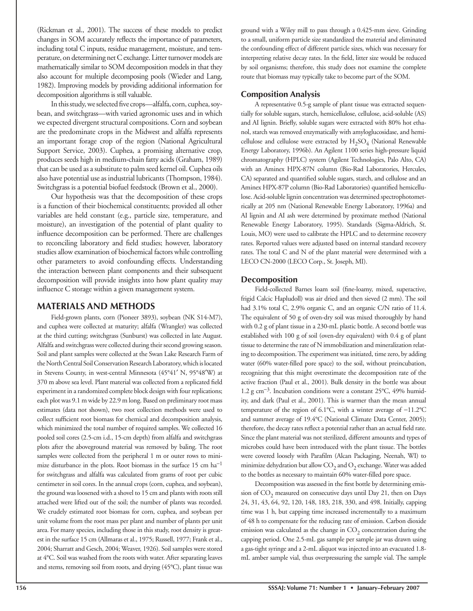(Rickman et al., 2001). The success of these models to predict changes in SOM accurately reflects the importance of parameters, including total C inputs, residue management, moisture, and temperature, on determining net C exchange. Litter turnover models are mathematically similar to SOM decomposition models in that they also account for multiple decomposing pools (Wieder and Lang, 1982). Improving models by providing additional information for decomposition algorithms is still valuable.

In this study, we selected five crops—alfalfa, corn, cuphea, soybean, and switchgrass—with varied agronomic uses and in which we expected divergent structural compositions. Corn and soybean are the predominate crops in the Midwest and alfalfa represents an important forage crop of the region (National Agricultural Support Service, 2003). Cuphea, a promising alternative crop, produces seeds high in medium-chain fatty acids (Graham, 1989) that can be used as a substitute to palm seed kernel oil. Cuphea oils also have potential use as industrial lubricants (Thompson, 1984). Switchgrass is a potential biofuel feedstock (Brown et al., 2000).

Our hypothesis was that the decomposition of these crops is a function of their biochemical constituents; provided all other variables are held constant (e.g., particle size, temperature, and moisture), an investigation of the potential of plant quality to influence decomposition can be performed. There are challenges to reconciling laboratory and field studies; however, laboratory studies allow examination of biochemical factors while controlling other parameters to avoid confounding effects. Understanding the interaction between plant components and their subsequent decomposition will provide insights into how plant quality may influence C storage within a given management system.

## **MATERIALS AND METHODS**

Field-grown plants, corn (Pioneer 3893), soybean (NK S14-M7), and cuphea were collected at maturity; alfalfa (Wrangler) was collected at the third cutting; switchgrass (Sunburst) was collected in late August. Alfalfa and switchgrass were collected during their second growing season. Soil and plant samples were collected at the Swan Lake Research Farm of the North Central Soil Conservation Research Laboratory, which is located in Stevens County, in west-central Minnesota (45°41′ N, 95°48′W) at 370 m above sea level. Plant material was collected from a replicated field experiment in a randomized complete block design with four replications; each plot was 9.1 m wide by 22.9 m long. Based on preliminary root mass estimates (data not shown), two root collection methods were used to collect sufficient root biomass for chemical and decomposition analysis, which minimized the total number of required samples. We collected 16 pooled soil cores (2.5-cm i.d., 15-cm depth) from alfalfa and switchgrass plots after the aboveground material was removed by baling. The root samples were collected from the peripheral 1 m or outer rows to minimize disturbance in the plots. Root biomass in the surface 15 cm  $ha^{-1}$ for switchgrass and alfalfa was calculated from grams of root per cubic centimeter in soil cores. In the annual crops (corn, cuphea, and soybean), the ground was loosened with a shovel to 15 cm and plants with roots still attached were lifted out of the soil; the number of plants was recorded. We crudely estimated root biomass for corn, cuphea, and soybean per unit volume from the root mass per plant and number of plants per unit area. For many species, including those in this study, root density is greatest in the surface 15 cm (Allmaras et al., 1975; Russell, 1977; Frank et al., 2004; Sharratt and Gesch, 2004; Weaver, 1926). Soil samples were stored at 4°C. Soil was washed from the roots with water. After separating leaves and stems, removing soil from roots, and drying (45°C), plant tissue was

ground with a Wiley mill to pass through a 0.425-mm sieve. Grinding to a small, uniform particle size standardized the material and eliminated the confounding effect of different particle sizes, which was necessary for interpreting relative decay rates. In the field, litter size would be reduced by soil organisms; therefore, this study does not examine the complete route that biomass may typically take to become part of the SOM.

## **Composition Analysis**

A representative 0.5-g sample of plant tissue was extracted sequentially for soluble sugars, starch, hemicellulose, cellulose, acid-soluble (AS) and AI lignin. Briefly, soluble sugars were extracted with 80% hot ethanol, starch was removed enzymatically with amyloglucosidase, and hemicellulose and cellulose were extracted by  $H_2SO_4$  (National Renewable Energy Laboratory, 1996b). An Agilent 1100 series high-pressure liquid chromatography (HPLC) system (Agilent Technologies, Palo Alto, CA) with an Aminex HPX-87N column (Bio-Rad Laboratories, Hercules, CA) separated and quantified soluble sugars, starch, and cellulose and an Aminex HPX-87P column (Bio-Rad Laboratories) quantified hemicellulose. Acid-soluble lignin concentration was determined spectrophotometrically at 205 nm (National Renewable Energy Laboratory, 1996a) and AI lignin and AI ash were determined by proximate method (National Renewable Energy Laboratory, 1995). Standards (Sigma-Aldrich, St. Louis, MO) were used to calibrate the HPLC and to determine recovery rates. Reported values were adjusted based on internal standard recovery rates. The total C and N of the plant material were determined with a LECO CN-2000 (LECO Corp., St. Joseph, MI).

### **Decomposition**

Field-collected Barnes loam soil (fine-loamy, mixed, superactive, frigid Calcic Hapludoll) was air dried and then sieved (2 mm). The soil had 3.1% total C, 2.9% organic C, and an organic C/N ratio of 11.4. The equivalent of 50 g of oven-dry soil was mixed thoroughly by hand with 0.2 g of plant tissue in a 230-mL plastic bottle. A second bottle was established with 100 g of soil (oven-dry equivalent) with 0.4 g of plant tissue to determine the rate of N immobilization and mineralization relating to decomposition. The experiment was initiated, time zero, by adding water (60% water-filled pore space) to the soil, without preincubation, recognizing that this might overestimate the decomposition rate of the active fraction (Paul et al., 2001). Bulk density in the bottle was about 1.2 g cm<sup>−</sup>3. Incubation conditions were a constant 25°C, 49% humidity, and dark (Paul et al., 2001). This is warmer than the mean annual temperature of the region of 6.1°C, with a winter average of −11.2°C and summer average of 19.4°C (National Climate Data Center, 2005); therefore, the decay rates reflect a potential rather than an actual field rate. Since the plant material was not sterilized, different amounts and types of microbes could have been introduced with the plant tissue. The bottles were covered loosely with Parafilm (Alcan Packaging, Neenah, WI) to minimize dehydration but allow  $CO<sub>2</sub>$  and  $O<sub>2</sub>$  exchange. Water was added to the bottles as necessary to maintain 60% water-filled pore space.

Decomposition was assessed in the first bottle by determining emission of  $CO<sub>2</sub>$  measured on consecutive days until Day 21, then on Days 24, 31, 43, 64, 92, 120, 148, 183, 218, 330, and 498. Initially, capping time was 1 h, but capping time increased incrementally to a maximum of 48 h to compensate for the reducing rate of emission. Carbon dioxide emission was calculated as the change in  $CO<sub>2</sub>$  concentration during the capping period. One 2.5-mL gas sample per sample jar was drawn using a gas-tight syringe and a 2-mL aliquot was injected into an evacuated 1.8 mL amber sample vial, thus overpressuring the sample vial. The sample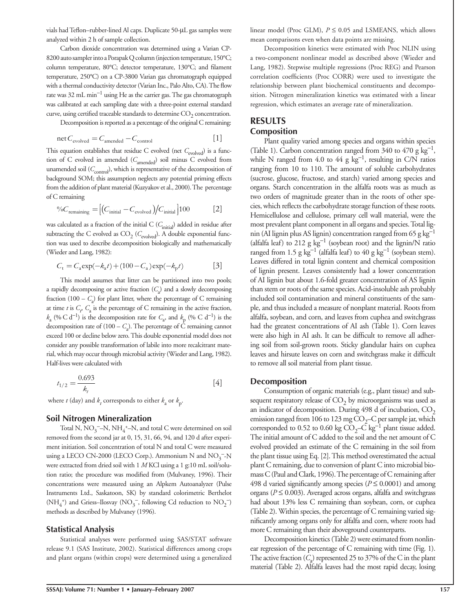vials had Teflon-rubber-lined Al caps. Duplicate 50-μL gas samples were analyzed within 2 h of sample collection.

Carbon dioxide concentration was determined using a Varian CP-8200 auto sampler into a Porapak Q column (injection temperature, 150°C; column temperature, 80°C; detector temperature, 130°C; and filament temperature, 250°C) on a CP-3800 Varian gas chromatograph equipped with a thermal conductivity detector (Varian Inc., Palo Alto, CA). The flow rate was 32 mL min<sup>−</sup>1 using He as the carrier gas. The gas chromatograph was calibrated at each sampling date with a three-point external standard curve, using certified traceable standards to determine  $CO<sub>2</sub>$  concentration.

Decomposition is reported as a percentage of the original C remaining:

$$
net C_{evolved} = C_{amended} - C_{control}
$$
 [1]

This equation establishes that residue C evolved (net C<sub>evolved</sub>) is a function of C evolved in amended ( $C_{\text{amended}}$ ) soil minus C evolved from unamended soil  $(C_{\rm control})$ , which is representative of the decomposition of background SOM; this assumption neglects any potential priming effects from the addition of plant material (Kuzyakov et al., 2000). The percentage of C remaining

$$
\%C_{\text{remaining}} = \left[ \left( C_{\text{initial}} - C_{\text{evolved}} \right) \middle/ C_{\text{initial}} \right] 100 \tag{2}
$$

was calculated as a fraction of the initial C ( $C_{\text{initial}}$ ) added in residue after subtracting the C evolved as CO<sub>2</sub> (C<sub>evolved</sub>). A double exponential function was used to describe decomposition biologically and mathematically (Wieder and Lang, 1982):

$$
C_{t} = C_{a} \exp(-k_{a}t) + (100 - C_{a}) \exp(-k_{p}t)
$$
 [3]

This model assumes that litter can be partitioned into two pools; a rapidly decomposing or active fraction  $(C_2)$  and a slowly decomposing fraction  $(100 - C<sub>a</sub>)$  for plant litter, where the percentage of C remaining at time *t* is  $C_p$ ,  $C_a$  is the percentage of C remaining in the active fraction, *k*<sub>a</sub> (% C d<sup>−1</sup>) is the decomposition rate for  $C$ <sub>a</sub>, and  $k$ <sub>p</sub> (% C d<sup>−1</sup>) is the decomposition rate of  $(100 - C_a)$ . The percentage of C remaining cannot exceed 100 or decline below zero. This double exponential model does not consider any possible transformation of labile into more recalcitrant material, which may occur through microbial activity (Wieder and Lang, 1982). Half-lives were calculated with

$$
t_{1/2} = \frac{0.693}{k_t} \tag{4}
$$

where *t* (day) and  $k_t$  corresponds to either  $k_a$  or  $k_p$ .

#### **Soil Nitrogen Mineralization**

Total N,  $NO_3$ <sup>-</sup>-N,  $NH_4^+$ -N, and total C were determined on soil removed from the second jar at 0, 15, 31, 66, 94, and 120 d after experiment initiation. Soil concentration of total N and total C were measured using a LECO CN-2000 (LECO Corp.). Ammonium N and  $\text{NO}_3^{\text{--} \text{--} \text{N}}$ were extracted from dried soil with 1 *M* KCl using a 1 g:10 mL soil/solution ratio; the procedure was modified from (Mulvaney, 1996). Their concentrations were measured using an Alpkem Autoanalyzer (Pulse Instruments Ltd., Saskatoon, SK) by standard colorimetric Berthelot  $({\rm NH_4^*})$  and Griess–Ilosvay  $({\rm NO_3^-},$  following Cd reduction to  ${\rm NO_2^-)}$ methods as described by Mulvaney (1996).

#### **Statistical Analysis**

Statistical analyses were performed using SAS/STAT software release 9.1 (SAS Institute, 2002). Statistical differences among crops and plant organs (within crops) were determined using a generalized linear model (Proc GLM),  $P \leq 0.05$  and LSMEANS, which allows mean comparisons even when data points are missing.

Decomposition kinetics were estimated with Proc NLIN using a two-component nonlinear model as described above (Wieder and Lang, 1982). Stepwise multiple regressions (Proc REG) and Pearson correlation coefficients (Proc CORR) were used to investigate the relationship between plant biochemical constituents and decomposition. Nitrogen mineralization kinetics was estimated with a linear regression, which estimates an average rate of mineralization.

## **RESULTS Composition**

Plant quality varied among species and organs within species (Table 1). Carbon concentration ranged from 340 to 470 g  $kg^{-1}$ , while N ranged from 4.0 to 44 g kg<sup>-1</sup>, resulting in C/N ratios ranging from 10 to 110. The amount of soluble carbohydrates (sucrose, glucose, fructose, and starch) varied among species and organs. Starch concentration in the alfalfa roots was as much as two orders of magnitude greater than in the roots of other species, which reflects the carbohydrate storage function of these roots. Hemicellulose and cellulose, primary cell wall material, were the most prevalent plant component in all organs and species. Total lignin (AI lignin plus AS lignin) concentration ranged from 65 g kg<sup>-1</sup> (alfalfa leaf) to 212 g  $kg^{-1}$  (soybean root) and the lignin/N ratio ranged from 1.5 g kg<sup>-1</sup> (alfalfa leaf) to 40 g kg<sup>-1</sup> (soybean stem). Leaves differed in total lignin content and chemical composition of lignin present. Leaves consistently had a lower concentration of AI lignin but about 1.6-fold greater concentration of AS lignin than stem or roots of the same species. Acid-insoluble ash probably included soil contamination and mineral constituents of the sample, and thus included a measure of nonplant material. Roots from alfalfa, soybean, and corn, and leaves from cuphea and switchgrass had the greatest concentrations of AI ash (Table 1). Corn leaves were also high in AI ash. It can be difficult to remove all adhering soil from soil-grown roots. Sticky glandular hairs on cuphea leaves and hirsute leaves on corn and switchgrass make it difficult to remove all soil material from plant tissue.

#### **Decomposition**

Consumption of organic materials (e.g., plant tissue) and subsequent respiratory release of  $CO<sub>2</sub>$  by microorganisms was used as an indicator of decomposition. During 498 d of incubation,  $CO<sub>2</sub>$ emission ranged from 106 to 123 mg  $CO<sub>2</sub>$ –C per sample jar, which corresponded to 0.52 to 0.60 kg  $CO<sub>2</sub>–C$  kg<sup>-1</sup> plant tissue added. The initial amount of C added to the soil and the net amount of C evolved provided an estimate of the C remaining in the soil from the plant tissue using Eq. [2]. This method overestimated the actual plant C remaining, due to conversion of plant C into microbial biomass C (Paul and Clark, 1996). The percentage of C remaining after 498 d varied significantly among species ( $P \le 0.0001$ ) and among organs (*P* ≤ 0.003). Averaged across organs, alfalfa and switchgrass had about 13% less C remaining than soybean, corn, or cuphea (Table 2). Within species, the percentage of C remaining varied significantly among organs only for alfalfa and corn, where roots had more C remaining than their aboveground counterparts.

Decomposition kinetics (Table 2) were estimated from nonlinear regression of the percentage of C remaining with time (Fig. 1). The active fraction  $(C_a)$  represented 25 to 37% of the C in the plant material (Table 2). Alfalfa leaves had the most rapid decay, losing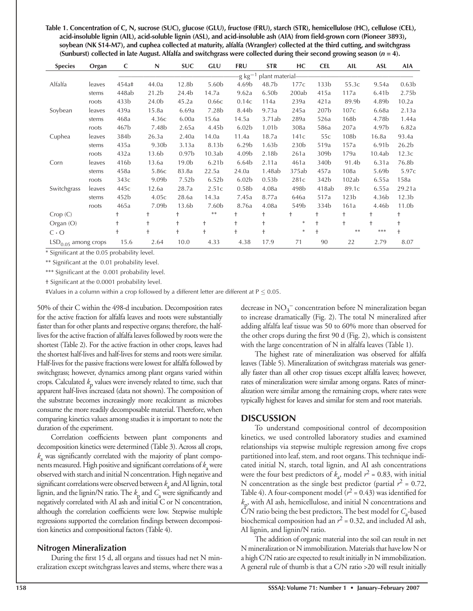**Table 1. Concentration of C, N, sucrose (SUC), glucose (GLU), fructose (FRU), starch (STR), hemicellulose (HC), cellulose (CEL),**  acid-insoluble lignin (AIL), acid-soluble lignin (ASL), and acid-insoluble ash (AIA) from field-grown corn (Pioneer 3893), **soybean (NK S14-M7), and cuphea collected at maturity, alfalfa (Wrangler) collected at the third cutting, and switchgrass**  (Sunburst) collected in late August. Alfalfa and switchgrass were collected during their second growing season (*n* = 4).

| <b>Species</b>        | Organ  | C                                     | N                 | <b>SUC</b>        | GLU               | <b>FRU</b>        | <b>STR</b>        | НC               | <b>CEL</b>       | AIL              | <b>ASL</b>        | <b>AIA</b>        |
|-----------------------|--------|---------------------------------------|-------------------|-------------------|-------------------|-------------------|-------------------|------------------|------------------|------------------|-------------------|-------------------|
|                       |        | -g kg <sup>—1</sup><br>plant material |                   |                   |                   |                   |                   |                  |                  |                  |                   |                   |
| Alfalfa               | leaves | 454a‡                                 | 44.0a             | 12.8b             | 5.60 <sub>b</sub> | 4.69b             | 48.7b             | 177c             | 133 <sub>b</sub> | 55.3c            | 9.54a             | 0.63 <sub>b</sub> |
|                       | stems  | 448ab                                 | 21.2 <sub>b</sub> | 24.4b             | 14.7a             | 9.62a             | 6.50 <sub>b</sub> | 200ab            | 415a             | 117a             | 6.41 <sub>b</sub> | 2.75 <sub>b</sub> |
|                       | roots  | 433 <sub>b</sub>                      | 24.0b             | 45.2a             | 0.66c             | 0.14c             | 114a              | 239a             | 421a             | 89.9b            | 4.89b             | 10.2a             |
| Soybean               | leaves | 439a                                  | 15.8a             | 6.69a             | 7.28 <sub>b</sub> | 8.44b             | 9.73a             | 245a             | 207b             | 107c             | 6.68a             | 2.13a             |
|                       | stems  | 468a                                  | 4.36с             | 6.00a             | 15.6a             | 14.5a             | 3.71ab            | 289a             | 526a             | 168 <sub>b</sub> | 4.78b             | 1.44a             |
|                       | roots  | 467b                                  | 7.48 <sub>b</sub> | 2.65a             | 4.45b             | 6.02 <sub>b</sub> | 1.01b             | 308a             | 586a             | 207a             | 4.97b             | 6.82a             |
| Cuphea                | leaves | 384b                                  | 26.3a             | 2.40a             | 14.0a             | 11.4a             | 18.7a             | 141c             | 55c              | 108 <sub>b</sub> | 16.8a             | 93.4a             |
|                       | stems  | 435a                                  | 9.30 <sub>b</sub> | 3.13a             | 8.13 <sub>b</sub> | 6.29 <sub>b</sub> | 1.63b             | 230 <sub>b</sub> | 519a             | 157a             | 6.91 <sub>b</sub> | 26.2 <sub>b</sub> |
|                       | roots  | 432a                                  | 13.6b             | 0.97 <sub>b</sub> | 10.3ab            | 4.09b             | 2.18 <sub>b</sub> | 261a             | 309 <sub>b</sub> | 179a             | 10.4ab            | 12.3c             |
| Corn                  | leaves | 416 <sub>b</sub>                      | 13.6a             | 19.0 <sub>b</sub> | 6.21 <sub>b</sub> | 6.64b             | 2.11a             | 461a             | 340 <sub>b</sub> | 91.4b            | 6.31a             | 76.8b             |
|                       | stems  | 458a                                  | 5.86с             | 83.8a             | 22.5a             | 24.0a             | 1.48ab            | 375ab            | 457a             | 108a             | 5.69 <sub>b</sub> | 5.97c             |
|                       | roots  | 343c                                  | 9.09 <sub>b</sub> | 7.52 <sub>b</sub> | 6.52 <sub>b</sub> | 6.02 <sub>b</sub> | 0.53 <sub>b</sub> | 281c             | 342b             | 102ab            | 6.55a             | 158a              |
| Switchgrass           | leaves | 445c                                  | 12.6a             | 28.7a             | 2.51c             | 0.58 <sub>b</sub> | 4.08a             | 498 <sub>b</sub> | 418ab            | 89.1c            | 6.55a             | 29.21a            |
|                       | stems  | 452b                                  | 4.05c             | 28.6a             | 14.3a             | 7.45a             | 8.77a             | 646a             | 517a             | 123 <sub>b</sub> | 4.36 <sub>b</sub> | 12.3 <sub>b</sub> |
|                       | roots  | 465a                                  | 7.09 <sub>b</sub> | 13.6b             | 7.60 <sub>b</sub> | 8.76a             | 4.08a             | 549b             | 334b             | 161a             | 4.46 <sub>b</sub> | 11.0 <sub>b</sub> |
| Crop(C)               |        | t                                     | $\ddagger$        | t                 | $**$              | $^{+}$            | t                 | t                | $^{+}$           | t                | t                 | $\ddagger$        |
| Organ (O)             |        | $\ddagger$                            | $\ddagger$        | $\ddagger$        | $\ddagger$        | $+$               | $\ddagger$        | $\ast$           | $\ddagger$       | $\ddagger$       |                   | $\ddagger$        |
| $C \cdot O$           |        | $\ddagger$                            | $\ddagger$        | $\ddagger$        | $\ddagger$        | $\ddagger$        | $\ddagger$        | $\ast$           | $\ddot{}$        | $**$             | ***               | $\ddagger$        |
| $LSD0.05$ among crops |        | 15.6                                  | 2.64              | 10.0              | 4.33              | 4.38              | 17.9              | 71               | 90               | 22               | 2.79              | 8.07              |

\* Significant at the 0.05 probability level.

\*\* Significant at the 0.01 probability level.

\*\*\* Significant at the 0.001 probability level.

† Signifi cant at the 0.0001 probability level.

 $\frac{1}{2}$ Values in a column within a crop followed by a different letter are different at P  $\leq$  0.05.

50% of their C within the 498-d incubation. Decomposition rates for the active fraction for alfalfa leaves and roots were substantially faster than for other plants and respective organs; therefore, the halflives for the active fraction of alfalfa leaves followed by roots were the shortest (Table 2). For the active fraction in other crops, leaves had the shortest half-lives and half-lives for stems and roots were similar. Half-lives for the passive fractions were lowest for alfalfa followed by switchgrass; however, dynamics among plant organs varied within crops. Calculated  $k_p$  values were inversely related to time, such that apparent half-lives increased (data not shown). The composition of the substrate becomes increasingly more recalcitrant as microbes consume the more readily decomposable material. Therefore, when comparing kinetics values among studies it is important to note the duration of the experiment.

Correlation coefficients between plant components and decomposition kinetics were determined (Table 3). Across all crops,  $k$ <sub>a</sub> was significantly correlated with the majority of plant components measured. High positive and significant correlations of  $k_{\rm a}$  were observed with starch and initial N concentration. High negative and significant correlations were observed between  $k_a$  and AI lignin, total lignin, and the lignin/N ratio. The  $k_{\rm p}$  and  $C_{\rm a}$  were significantly and negatively correlated with AI ash and initial C or N concentration, although the correlation coefficients were low. Stepwise multiple regressions supported the correlation findings between decomposition kinetics and compositional factors (Table 4).

## **Nitrogen Mineralization**

During the first  $15$  d, all organs and tissues had net N mineralization except switchgrass leaves and stems, where there was a

decrease in  $\mathrm{NO_3}^-$  concentration before N mineralization began to increase dramatically (Fig. 2). The total N mineralized after adding alfalfa leaf tissue was 50 to 60% more than observed for the other crops during the first  $90 d$  (Fig. 2), which is consistent with the large concentration of N in alfalfa leaves (Table 1).

The highest rate of mineralization was observed for alfalfa leaves (Table 5). Mineralization of switchgrass materials was generally faster than all other crop tissues except alfalfa leaves; however, rates of mineralization were similar among organs. Rates of mineralization were similar among the remaining crops, where rates were typically highest for leaves and similar for stem and root materials.

## **DISCUSSION**

To understand compositional control of decomposition kinetics, we used controlled laboratory studies and examined relationships via stepwise multiple regression among five crops partitioned into leaf, stem, and root organs. This technique indicated initial N, starch, total lignin, and AI ash concentrations were the four best predictors of  $k_a$ , model  $r^2 = 0.83$ , with initial N concentration as the single best predictor (partial  $r^2 = 0.72$ , Table 4). A four-component model  $(r^2 = 0.43)$  was identified for  $k_p$ , with AI ash, hemicellulose, and initial N concentrations and  $C/N$  ratio being the best predictors. The best model for  $C_a$ -based biochemical composition had an  $r^2$  = 0.32, and included AI ash, AI lignin, and lignin/N ratio.

The addition of organic material into the soil can result in net N mineralization or N immobilization. Materials that have low N or a high C/N ratio are expected to result initially in N immobilization. A general rule of thumb is that a C/N ratio >20 will result initially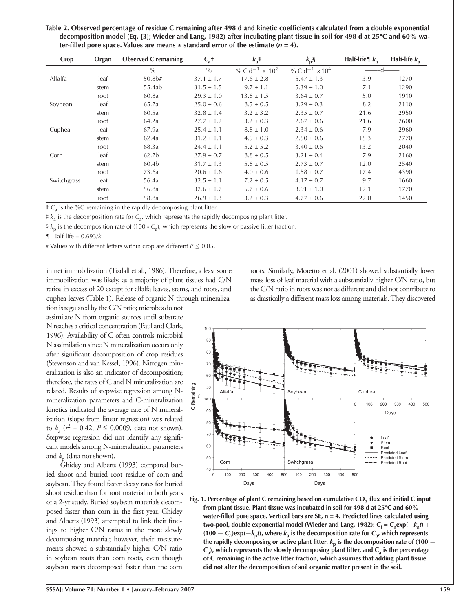Table 2. Observed percentage of residue C remaining after 498 d and kinetic coefficients calculated from a double exponential **decomposition model (Eq. [3]; Wieder and Lang, 1982) after incubating plant tissue in soil for 498 d at 25°C and 60% wa**ter-filled pore space. Values are means  $\pm$  standard error of the estimate ( $n = 4$ ).

| Crop        | Organ | <b>Observed C</b> remaining | $C_a$ <sup>+</sup> | $k_a$ ‡                                      | $k_{p}$ §                                    | Half-life $\parallel$ $k_a$ | Half-life $k_{p}$ |
|-------------|-------|-----------------------------|--------------------|----------------------------------------------|----------------------------------------------|-----------------------------|-------------------|
|             |       | $\frac{0}{0}$               | $\frac{0}{0}$      | % C d <sup>-1</sup> $\times$ 10 <sup>2</sup> | % C d <sup>-1</sup> $\times$ 10 <sup>4</sup> |                             |                   |
| Alfalfa     | leaf  | 50.8 <sub>b#</sub>          | $37.1 \pm 1.7$     | $17.6 \pm 2.8$                               | $5.47 \pm 1.3$                               | 3.9                         | 1270              |
|             | stem  | 55.4ab                      | $31.5 \pm 1.5$     | $9.7 \pm 1.1$                                | $5.39 \pm 1.0$                               | 7.1                         | 1290              |
|             | root  | 60.8a                       | $29.3 \pm 1.0$     | $13.8 \pm 1.5$                               | $3.64 \pm 0.7$                               | 5.0                         | 1910              |
| Soybean     | leaf  | 65.7a                       | $25.0 \pm 0.6$     | $8.5 \pm 0.5$                                | $3.29 \pm 0.3$                               | 8.2                         | 2110              |
|             | stem  | 60.5a                       | $32.8 \pm 1.4$     | $3.2 \pm 3.2$                                | $2.35 \pm 0.7$                               | 21.6                        | 2950              |
|             | root  | 64.2a                       | $27.7 \pm 1.2$     | $3.2 \pm 0.3$                                | $2.67 \pm 0.6$                               | 21.6                        | 2600              |
| Cuphea      | leaf  | 67.9a                       | $25.4 \pm 1.1$     | $8.8 \pm 1.0$                                | $2.34 \pm 0.6$                               | 7.9                         | 2960              |
|             | stem  | 62.4a                       | $31.2 \pm 1.1$     | $4.5 \pm 0.3$                                | $2.50 \pm 0.6$                               | 15.3                        | 2770              |
|             | root  | 68.3a                       | $24.4 \pm 1.1$     | $5.2 \pm 5.2$                                | $3.40 \pm 0.6$                               | 13.2                        | 2040              |
| Corn        | leaf  | 62.7 <sub>b</sub>           | $27.9 \pm 0.7$     | $8.8 \pm 0.5$                                | $3.21 \pm 0.4$                               | 7.9                         | 2160              |
|             | stem  | 60.4b                       | $31.7 \pm 1.3$     | $5.8 \pm 0.5$                                | $2.73 \pm 0.7$                               | 12.0                        | 2540              |
|             | root  | 73.6a                       | $20.6 \pm 1.6$     | $4.0 \pm 0.6$                                | $1.58 \pm 0.7$                               | 17.4                        | 4390              |
| Switchgrass | leaf  | 56.4a                       | $32.5 \pm 1.1$     | $7.2 \pm 0.5$                                | $4.17 \pm 0.7$                               | 9.7                         | 1660              |
|             | stem  | 56.8a                       | $32.6 \pm 1.7$     | $5.7 \pm 0.6$                                | $3.91 \pm 1.0$                               | 12.1                        | 1770              |
|             | root  | 58.8a                       | $26.9 \pm 1.3$     | $3.2 \pm 0.3$                                | $4.77 \pm 0.6$                               | 22.0                        | 1450              |

**†**  $C_a$  is the %C-remaining in the rapidly decomposing plant litter.

 $\neq k_a$  is the decomposition rate for  $C_a$ , which represents the rapidly decomposing plant litter.

§  $k_p$  is the decomposition rate of (100 -  $C_a$ ), which represents the slow or passive litter fraction.

¶ Half-life = 0.693/*k*.

# Values with different letters within crop are different  $P \le 0.05$ .

in net immobilization (Tisdall et al., 1986). Therefore, a least some immobilization was likely, as a majority of plant tissues had C/N ratios in excess of 20 except for alfalfa leaves, stems, and roots, and cuphea leaves (Table 1). Release of organic N through mineraliza-

tion is regulated by the C/N ratio; microbes do not assimilate N from organic sources until substrate N reaches a critical concentration (Paul and Clark, 1996). Availability of C often controls microbial N assimilation since N mineralization occurs only after significant decomposition of crop residues (Stevenson and van Kessel, 1996). Nitrogen mineralization is also an indicator of decomposition; therefore, the rates of C and N mineralization are related. Results of stepwise regression among Nmineralization parameters and C-mineralization kinetics indicated the average rate of N mineralization (slope from linear regression) was related to  $k_a$  ( $r^2 = 0.42$ ,  $P \le 0.0009$ , data not shown). Stepwise regression did not identify any significant models among N-mineralization parameters and  $k_p$  (data not shown).

Ghidey and Alberts (1993) compared buried shoot and buried root residue of corn and soybean. They found faster decay rates for buried shoot residue than for root material in both years of a 2-yr study. Buried soybean materials decomposed faster than corn in the first year. Ghidey and Alberts (1993) attempted to link their findings to higher C/N ratios in the more slowly decomposing material; however, their measurements showed a substantially higher C/N ratio in soybean roots than corn roots, even though soybean roots decomposed faster than the corn roots. Similarly, Moretto et al. (2001) showed substantially lower mass loss of leaf material with a substantially higher C/N ratio, but the C/N ratio in roots was not as different and did not contribute to as drastically a different mass loss among materials. They discovered



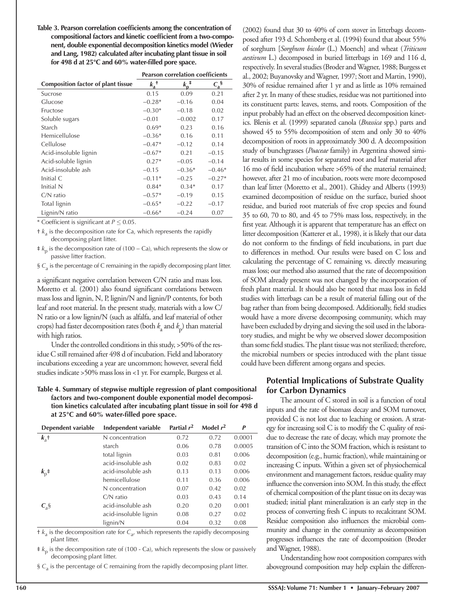| Table 3. Pearson correlation coefficients among the concentration of |  |
|----------------------------------------------------------------------|--|
| compositional factors and kinetic coefficient from a two-compo-      |  |
| nent, double exponential decomposition kinetics model (Wieder        |  |
| and Lang, 1982) calculated after incubating plant tissue in soil     |  |
| for 498 d at 25°C and 60% water-filled pore space.                   |  |

|                                           | <b>Pearson correlation coefficients</b> |                         |            |  |  |
|-------------------------------------------|-----------------------------------------|-------------------------|------------|--|--|
| <b>Composition factor of plant tissue</b> | $k_a^{\dagger}$                         | $k_{\rm p}^{\  \, \pm}$ | $C_a^{\S}$ |  |  |
| Sucrose                                   | 0.15                                    | 0.09                    | 0.21       |  |  |
| Glucose                                   | $-0.28*$                                | $-0.16$                 | 0.04       |  |  |
| Fructose                                  | $-0.30*$                                | $-0.18$                 | 0.02       |  |  |
| Soluble sugars                            | $-0.01$                                 | $-0.002$                | 0.17       |  |  |
| Starch                                    | $0.69*$                                 | 0.23                    | 0.16       |  |  |
| Hemicellulose                             | $-0.36*$                                | 0.16                    | 0.11       |  |  |
| Cellulose                                 | $-0.47*$                                | $-0.12$                 | 0.14       |  |  |
| Acid-insoluble lignin                     | $-0.67*$                                | 0.21                    | $-0.15$    |  |  |
| Acid-soluble lignin                       | $0.27*$                                 | $-0.05$                 | $-0.14$    |  |  |
| Acid-insoluble ash                        | $-0.15$                                 | $-0.36*$                | $-0.46*$   |  |  |
| Initial C                                 | $-0.11*$                                | $-0.25$                 | $-0.27*$   |  |  |
| Initial N                                 | $0.84*$                                 | $0.34*$                 | 0.17       |  |  |
| $C/N$ ratio                               | $-0.57*$                                | $-0.19$                 | 0.15       |  |  |
| Total lignin                              | $-0.65*$                                | $-0.22$                 | $-0.17$    |  |  |
| Lignin/N ratio                            | $-0.66*$                                | $-0.24$                 | 0.07       |  |  |

\* Coefficient is significant at  $P \le 0.05$ .

 $\pm k_a$  is the decomposition rate for Ca, which represents the rapidly decomposing plant litter.

‡ *k*p is the decomposition rate of (100 − Ca), which represents the slow or passive litter fraction.

§ C<sub>a</sub> is the percentage of C remaining in the rapidly decomposing plant litter.

a significant negative correlation between C/N ratio and mass loss. Moretto et al. (2001) also found significant correlations between mass loss and lignin, N, P, lignin/N and lignin/P contents, for both leaf and root material. In the present study, materials with a low C/ N ratio or a low lignin/N (such as alfalfa, and leaf material of other crops) had faster decomposition rates (both *k*<sup>a</sup> and *k*p) than material with high ratios.

Under the controlled conditions in this study, >50% of the residue C still remained after 498 d of incubation. Field and laboratory incubations exceeding a year are uncommon; however, several field studies indicate >50% mass loss in <1 yr. For example, Burgess et al.

#### **Table 4. Summary of stepwise multiple regression of plant compositional factors and two-component double exponential model decomposition kinetics calculated after incubating plant tissue in soil for 498 d at 25°C and 60% water-fi lled pore space.**

| Dependent variable                      | Independent variable  | Partial $r^2$ | Model $r^2$ | P      |
|-----------------------------------------|-----------------------|---------------|-------------|--------|
| $k_{\rm a}$ +                           | N concentration       | 0.72          | 0.72        | 0.0001 |
|                                         | starch                | 0.06          | 0.78        | 0.0005 |
|                                         | total lignin          | 0.03          | 0.81        | 0.006  |
|                                         | acid-insoluble ash    | 0.02          | 0.83        | 0.02   |
| $k_{p}$ <sup><math>\dagger</math></sup> | acid-insoluble ash    | 0.13          | 0.13        | 0.006  |
|                                         | hemicellulose         | 0.11          | 0.36        | 0.006  |
|                                         | N concentration       | 0.07          | 0.42        | 0.02   |
|                                         | $C/N$ ratio           | 0.03          | 0.43        | 0.14   |
| $C_a$ §                                 | acid-insoluble ash    | 0.20          | 0.20        | 0.001  |
|                                         | acid-insoluble lignin | 0.08          | 0.27        | 0.02   |
|                                         | lignin/N              | 0.04          | 0.32        | 0.08   |

 $\pm k_a$  is the decomposition rate for  $C_{a}$ , which represents the rapidly decomposing plant litter.

 $\neq k_{\text{n}}$  is the decomposition rate of (100 - Ca), which represents the slow or passively decomposing plant litter.

§  $C_a$  is the percentage of C remaining from the rapidly decomposing plant litter.

(2002) found that 30 to 40% of corn stover in litterbags decomposed after 193 d. Schomberg et al. (1994) found that about 55% of sorghum [*Sorghum bicolor* (L.) Moench] and wheat (*Triticum aestivum* L.) decomposed in buried litterbags in 169 and 116 d, respectively. In several studies (Broder and Wagner, 1988; Burgess et al., 2002; Buyanovsky and Wagner, 1997; Stott and Martin, 1990), 30% of residue remained after 1 yr and as little as 10% remained after 2 yr. In many of these studies, residue was not partitioned into its constituent parts: leaves, stems, and roots. Composition of the input probably had an effect on the observed decomposition kinetics. Blenis et al. (1999) separated canola (*Brassica* spp.) parts and showed 45 to 55% decomposition of stem and only 30 to 40% decomposition of roots in approximately 300 d. A decomposition study of bunchgrasses (*Poaceae* family) in Argentina showed similar results in some species for separated root and leaf material after 16 mo of field incubation where >65% of the material remained; however, after 21 mo of incubation, roots were more decomposed than leaf litter (Moretto et al., 2001). Ghidey and Alberts (1993) examined decomposition of residue on the surface, buried shoot residue, and buried root materials of five crop species and found 35 to 60, 70 to 80, and 45 to 75% mass loss, respectively, in the first year. Although it is apparent that temperature has an effect on litter decomposition (Katterer et al., 1998), it is likely that our data do not conform to the findings of field incubations, in part due to differences in method. Our results were based on C loss and calculating the percentage of C remaining vs. directly measuring mass loss; our method also assumed that the rate of decomposition of SOM already present was not changed by the incorporation of fresh plant material. It should also be noted that mass loss in field studies with litterbags can be a result of material falling out of the bag rather than from being decomposed. Additionally, field studies would have a more diverse decomposing community, which may have been excluded by drying and sieving the soil used in the laboratory studies, and might be why we observed slower decomposition than some field studies. The plant tissue was not sterilized; therefore, the microbial numbers or species introduced with the plant tissue could have been different among organs and species.

## **Potential Implications of Substrate Quality for Carbon Dynamics**

The amount of C stored in soil is a function of total inputs and the rate of biomass decay and SOM turnover, provided C is not lost due to leaching or erosion. A strategy for increasing soil C is to modify the C quality of residue to decrease the rate of decay, which may promote the transition of C into the SOM fraction, which is resistant to decomposition (e.g., humic fraction), while maintaining or increasing C inputs. Within a given set of physiochemical environment and management factors, residue quality may influence the conversion into SOM. In this study, the effect of chemical composition of the plant tissue on its decay was studied; initial plant mineralization is an early step in the process of converting fresh C inputs to recalcitrant SOM. Residue composition also influences the microbial community and change in the community as decomposition progresses influences the rate of decomposition (Broder and Wagner, 1988).

Understanding how root composition compares with aboveground composition may help explain the differen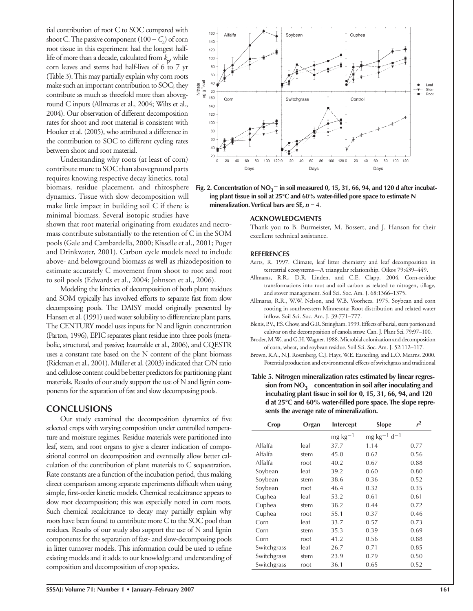tial contribution of root C to SOC compared with shoot C. The passive component (100 −*C*<sup>a</sup> ) of corn root tissue in this experiment had the longest halflife of more than a decade, calculated from  $k_p$ , while corn leaves and stems had half-lives of 6 to 7 yr (Table 3). This may partially explain why corn roots make such an important contribution to SOC; they contribute as much as threefold more than aboveground C inputs (Allmaras et al., 2004; Wilts et al., 2004). Our observation of different decomposition rates for shoot and root material is consistent with Hooker et al. (2005), who attributed a difference in the contribution to SOC to different cycling rates between shoot and root material.

Understanding why roots (at least of corn) contribute more to SOC than aboveground parts requires knowing respective decay kinetics, total biomass, residue placement, and rhizosphere dynamics. Tissue with slow decomposition will make little impact in building soil C if there is minimal biomass. Several isotopic studies have

shown that root material originating from exudates and necromass contribute substantially to the retention of C in the SOM pools (Gale and Cambardella, 2000; Kisselle et al., 2001; Puget and Drinkwater, 2001). Carbon cycle models need to include above- and belowground biomass as well as rhizodeposition to estimate accurately C movement from shoot to root and root to soil pools (Edwards et al., 2004; Johnson et al., 2006).

Modeling the kinetics of decomposition of both plant residues and SOM typically has involved efforts to separate fast from slow decomposing pools. The DAISY model originally presented by Hansen et al. (1991) used water solubility to differentiate plant parts. The CENTURY model uses inputs for N and lignin concentration (Parton, 1996), EPIC separates plant residue into three pools (metabolic, structural, and passive; Izaurralde et al., 2006), and CQESTR uses a constant rate based on the N content of the plant biomass (Rickman et al., 2001). Müller et al. (2003) indicated that C/N ratio and cellulose content could be better predictors for partitioning plant materials. Results of our study support the use of N and lignin components for the separation of fast and slow decomposing pools.

## **CONCLUSIONS**

Our study examined the decomposition dynamics of five selected crops with varying composition under controlled temperature and moisture regimes. Residue materials were partitioned into leaf, stem, and root organs to give a clearer indication of compositional control on decomposition and eventually allow better calculation of the contribution of plant materials to C sequestration. Rate constants are a function of the incubation period, thus making direct comparison among separate experiments difficult when using simple, first-order kinetic models. Chemical recalcitrance appears to slow root decomposition; this was especially noted in corn roots. Such chemical recalcitrance to decay may partially explain why roots have been found to contribute more C to the SOC pool than residues. Results of our study also support the use of N and lignin components for the separation of fast- and slow-decomposing pools in litter turnover models. This information could be used to refine existing models and it adds to our knowledge and understanding of composition and decomposition of crop species.



Soybean

160

Alfalfa

Thank you to B. Burmeister, M. Bossert, and J. Hanson for their excellent technical assistance.

Cuphea

#### **REFERENCES**

- Aerts, R. 1997. Climate, leaf litter chemistry and leaf decomposition in terrestrial ecosystems—A triangular relationship. Oikos 79:439–449.
- Allmaras, R.R., D.R. Linden, and C.E. Clapp. 2004. Corn-residue transformations into root and soil carbon as related to nitrogen, tillage, and stover management. Soil Sci. Soc. Am. J. 68:1366–1375.
- Allmaras, R.R., W.W. Nelson, and W.B. Voorhees. 1975. Soybean and corn rooting in southwestern Minnesota: Root distribution and related water inflow. Soil Sci. Soc. Am. J. 39:771-777.
- Blenis, P.V., P.S. Chow, and G.R. Stringham. 1999. Effects of burial, stem portion and cultivar on the decomposition of canola straw. Can. J. Plant Sci. 79:97–100.
- Broder, M.W., and G.H. Wagner. 1988. Microbial colonization and decomposition of corn, wheat, and soybean residue. Soil Sci. Soc. Am. J. 52:112–117.
- Brown, R.A., N.J. Rosenberg, C.J. Hays, W.E. Easterling, and L.O. Mearns. 2000. Potential production and environmental effects of switchgrass and traditional
- **Table 5. Nitrogen mineralization rates estimated by linear regression from NO<sub>3</sub><sup>−</sup> concentration in soil after inoculating and incubating plant tissue in soil for 0, 15, 31, 66, 94, and 120**  d at 25°C and 60% water-filled pore space. The slope repre**sents the average rate of mineralization.**

| Crop<br>Organ |               | <b>Slope</b>              | r <sup>2</sup> |
|---------------|---------------|---------------------------|----------------|
|               | $mg\ kg^{-1}$ | $mg \, kg^{-1} \, d^{-1}$ |                |
| leaf          | 37.7          | 1.14                      | 0.77           |
| stem          | 45.0          | 0.62                      | 0.56           |
| root          | 40.2          | 0.67                      | 0.88           |
| leaf          | 39.2          | 0.60                      | 0.80           |
| stem          | 38.6          | 0.36                      | 0.52           |
| root          | 46.4          | 0.32                      | 0.35           |
| leaf          | 53.2          | 0.61                      | 0.61           |
| stem          | 38.2          | 0.44                      | 0.72           |
| root          | 55.1          | 0.37                      | 0.46           |
| leaf          | 33.7          | 0.57                      | 0.73           |
| stem          | 35.3          | 0.39                      | 0.69           |
| root          | 41.2          | 0.56                      | 0.88           |
| leaf          | 26.7          | 0.71                      | 0.85           |
| stem          | 23.9          | 0.79                      | 0.50           |
| root          | 36.1          | 0.65                      | 0.52           |
|               |               | Intercept                 |                |